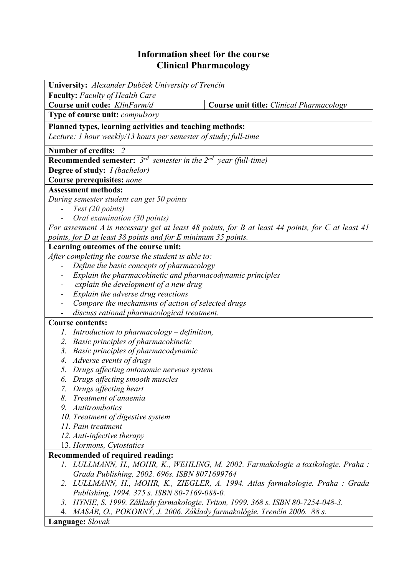## **Information sheet for the course Clinical Pharmacology**

| University: Alexander Dubček University of Trenčín                                               |                                                                                  |  |  |  |  |
|--------------------------------------------------------------------------------------------------|----------------------------------------------------------------------------------|--|--|--|--|
| <b>Faculty:</b> Faculty of Health Care                                                           |                                                                                  |  |  |  |  |
| Course unit code: KlinFarm/d                                                                     |                                                                                  |  |  |  |  |
|                                                                                                  | Course unit title: Clinical Pharmacology                                         |  |  |  |  |
| <b>Type of course unit:</b> <i>compulsory</i>                                                    |                                                                                  |  |  |  |  |
| Planned types, learning activities and teaching methods:                                         |                                                                                  |  |  |  |  |
| Lecture: 1 hour weekly/13 hours per semester of study; full-time                                 |                                                                                  |  |  |  |  |
| Number of credits: 2                                                                             |                                                                                  |  |  |  |  |
| <b>Recommended semester:</b> $3^{rd}$ semester in the $2^{nd}$ year (full-time)                  |                                                                                  |  |  |  |  |
| Degree of study: <i>I (bachelor)</i>                                                             |                                                                                  |  |  |  |  |
|                                                                                                  |                                                                                  |  |  |  |  |
| Course prerequisites: none                                                                       |                                                                                  |  |  |  |  |
| <b>Assessment methods:</b>                                                                       |                                                                                  |  |  |  |  |
| During semester student can get 50 points                                                        |                                                                                  |  |  |  |  |
|                                                                                                  | Test (20 points)                                                                 |  |  |  |  |
| Oral examination (30 points)                                                                     |                                                                                  |  |  |  |  |
| For assesment A is necessary get at least 48 points, for B at least 44 points, for C at least 41 |                                                                                  |  |  |  |  |
| points, for D at least 38 points and for E minimum 35 points.                                    |                                                                                  |  |  |  |  |
| Learning outcomes of the course unit:                                                            |                                                                                  |  |  |  |  |
|                                                                                                  | After completing the course the student is able to:                              |  |  |  |  |
|                                                                                                  | Define the basic concepts of pharmacology                                        |  |  |  |  |
| Explain the pharmacokinetic and pharmacodynamic principles                                       |                                                                                  |  |  |  |  |
| explain the development of a new drug                                                            |                                                                                  |  |  |  |  |
| Explain the adverse drug reactions                                                               |                                                                                  |  |  |  |  |
| Compare the mechanisms of action of selected drugs                                               |                                                                                  |  |  |  |  |
| discuss rational pharmacological treatment.                                                      |                                                                                  |  |  |  |  |
| <b>Course contents:</b>                                                                          |                                                                                  |  |  |  |  |
| Introduction to pharmacology $-$ definition,<br>1.                                               |                                                                                  |  |  |  |  |
| Basic principles of pharmacokinetic<br>2.                                                        |                                                                                  |  |  |  |  |
| 3. Basic principles of pharmacodynamic                                                           |                                                                                  |  |  |  |  |
| Adverse events of drugs<br>4.                                                                    |                                                                                  |  |  |  |  |
| Drugs affecting autonomic nervous system<br>5.                                                   |                                                                                  |  |  |  |  |
| 6. Drugs affecting smooth muscles                                                                |                                                                                  |  |  |  |  |
| 7. Drugs affecting heart                                                                         |                                                                                  |  |  |  |  |
| Treatment of anaemia<br>8.                                                                       |                                                                                  |  |  |  |  |
| 9. Antitrombotics                                                                                |                                                                                  |  |  |  |  |
| 10. Treatment of digestive system                                                                |                                                                                  |  |  |  |  |
| 11. Pain treatment                                                                               |                                                                                  |  |  |  |  |
| 12. Anti-infective therapy                                                                       |                                                                                  |  |  |  |  |
| 13. Hormons, Cytostatics                                                                         |                                                                                  |  |  |  |  |
| <b>Recommended of required reading:</b>                                                          |                                                                                  |  |  |  |  |
|                                                                                                  | 1. LULLMANN, H., MOHR, K., WEHLING, M. 2002. Farmakologie a toxikologie. Praha : |  |  |  |  |
| Grada Publishing, 2002. 696s. ISBN 8071699764                                                    |                                                                                  |  |  |  |  |
|                                                                                                  | 2. LULLMANN, H., MOHR, K., ZIEGLER, A. 1994. Atlas farmakologie. Praha : Grada   |  |  |  |  |
| Publishing, 1994. 375 s. ISBN 80-7169-088-0.                                                     |                                                                                  |  |  |  |  |
| 3. HYNIE, S. 1999. Základy farmakologie. Triton, 1999. 368 s. ISBN 80-7254-048-3.                |                                                                                  |  |  |  |  |
| 4. MASÁR, O., POKORNÝ, J. 2006. Základy farmakológie. Trenčín 2006. 88 s.                        |                                                                                  |  |  |  |  |

## **Language:** *Slovak*